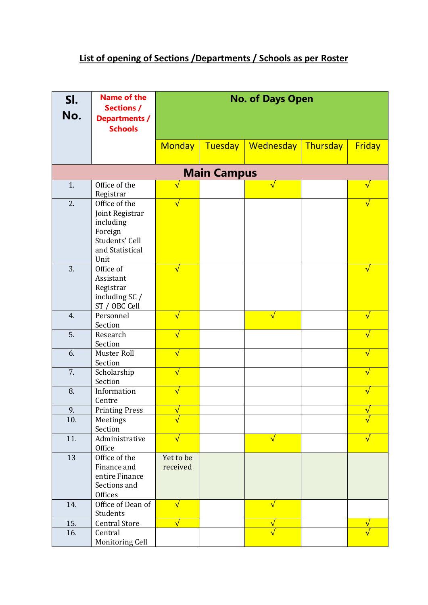## **List of opening of Sections /Departments / Schools as per Roster**

| SI.<br>No.         | <b>Name of the</b><br><b>Sections /</b><br><b>Departments /</b><br><b>Schools</b>                     | <b>No. of Days Open</b> |                |            |          |                         |  |  |
|--------------------|-------------------------------------------------------------------------------------------------------|-------------------------|----------------|------------|----------|-------------------------|--|--|
|                    |                                                                                                       | <b>Monday</b>           | <b>Tuesday</b> | Wednesday  | Thursday | Friday                  |  |  |
| <b>Main Campus</b> |                                                                                                       |                         |                |            |          |                         |  |  |
| 1.                 | Office of the<br>Registrar                                                                            | $\sqrt{}$               |                | $\sqrt{}$  |          | $\sqrt{}$               |  |  |
| 2.                 | Office of the<br>Joint Registrar<br>including<br>Foreign<br>Students' Cell<br>and Statistical<br>Unit | √                       |                |            |          |                         |  |  |
| 3.                 | Office of<br>Assistant<br>Registrar<br>including SC /<br>ST / OBC Cell                                | √                       |                |            |          | $\mathbf v$             |  |  |
| 4.                 | Personnel<br>Section                                                                                  | √                       |                | $\sqrt{}$  |          | $\overline{\mathsf{v}}$ |  |  |
| 5.                 | Research<br>Section                                                                                   | √                       |                |            |          | $\sqrt{}$               |  |  |
| 6.                 | Muster Roll<br>Section                                                                                | $\sqrt{}$               |                |            |          | $\sqrt{}$               |  |  |
| 7.                 | Scholarship<br>Section                                                                                | $\sqrt{}$               |                |            |          | $\sqrt{}$               |  |  |
| 8.                 | Information<br>Centre                                                                                 | $\sqrt{}$               |                |            |          | $\sqrt{}$               |  |  |
| 9.                 | <b>Printing Press</b>                                                                                 |                         |                |            |          |                         |  |  |
| 10.                | Meetings<br>Section                                                                                   |                         |                |            |          |                         |  |  |
| 11.                | Administrative<br>Office                                                                              | $\sqrt{}$               |                | $\sqrt{ }$ |          | √                       |  |  |
| 13                 | Office of the<br>Finance and<br>entire Finance<br>Sections and<br>Offices                             | Yet to be<br>received   |                |            |          |                         |  |  |
| 14.                | Office of Dean of<br>Students                                                                         | $\sqrt{}$               |                | $\sqrt{}$  |          |                         |  |  |
| 15.                | <b>Central Store</b>                                                                                  | $\sqrt{}$               |                |            |          |                         |  |  |
| 16.                | Central<br>Monitoring Cell                                                                            |                         |                |            |          |                         |  |  |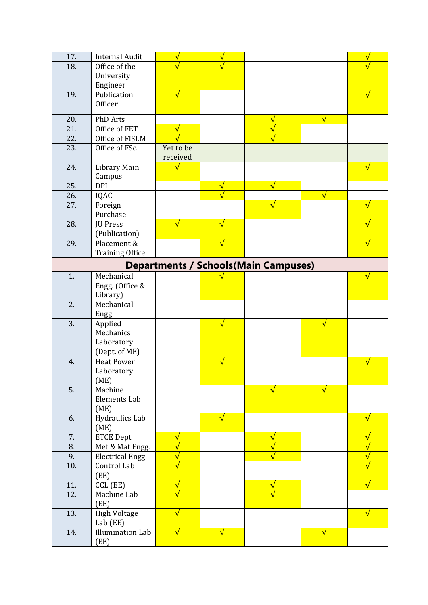| 17.                                          | <b>Internal Audit</b>   | $\mathbf v$           | $\mathbf v$ |                         |           |                         |  |  |
|----------------------------------------------|-------------------------|-----------------------|-------------|-------------------------|-----------|-------------------------|--|--|
| 18.                                          | Office of the           |                       |             |                         |           |                         |  |  |
|                                              | University              |                       |             |                         |           |                         |  |  |
|                                              | Engineer                |                       |             |                         |           |                         |  |  |
| 19.                                          | Publication             | $\sqrt{}$             |             |                         |           |                         |  |  |
|                                              | Officer                 |                       |             |                         |           |                         |  |  |
| 20.                                          | PhD Arts                |                       |             | $\overline{\mathsf{v}}$ | $\sqrt{}$ |                         |  |  |
| 21.                                          | Office of FET           | $\sqrt{}$             |             |                         |           |                         |  |  |
| 22.                                          | Office of FISLM         |                       |             |                         |           |                         |  |  |
| 23.                                          | Office of FSc.          | Yet to be             |             |                         |           |                         |  |  |
|                                              |                         | received              |             |                         |           |                         |  |  |
| 24.                                          | Library Main            | $\sqrt{}$             |             |                         |           | $\overline{\mathsf{v}}$ |  |  |
|                                              | Campus                  |                       |             |                         |           |                         |  |  |
| 25.                                          | <b>DPI</b>              |                       | $\sqrt{}$   |                         |           |                         |  |  |
| 26.                                          | IQAC                    |                       |             |                         | $\sqrt{}$ |                         |  |  |
| 27.                                          | Foreign                 |                       |             |                         |           |                         |  |  |
|                                              | Purchase                |                       |             |                         |           |                         |  |  |
| 28.                                          | JU Press                | √                     | $\sqrt{}$   |                         |           |                         |  |  |
|                                              | (Publication)           |                       |             |                         |           |                         |  |  |
| 29.                                          | Placement &             |                       | $\sqrt{}$   |                         |           |                         |  |  |
|                                              | <b>Training Office</b>  |                       |             |                         |           |                         |  |  |
| <b>Departments / Schools (Main Campuses)</b> |                         |                       |             |                         |           |                         |  |  |
| 1.                                           | Mechanical              |                       |             |                         |           |                         |  |  |
|                                              | Engg. (Office &         |                       |             |                         |           |                         |  |  |
|                                              | Library)                |                       |             |                         |           |                         |  |  |
| 2.                                           | Mechanical              |                       |             |                         |           |                         |  |  |
|                                              | Engg                    |                       |             |                         |           |                         |  |  |
| 3.                                           | Applied                 |                       | $\sqrt{}$   |                         | $\sqrt{}$ |                         |  |  |
|                                              | Mechanics               |                       |             |                         |           |                         |  |  |
|                                              | Laboratory              |                       |             |                         |           |                         |  |  |
|                                              | (Dept. of ME)           |                       |             |                         |           |                         |  |  |
| 4.                                           | <b>Heat Power</b>       |                       | √           |                         |           |                         |  |  |
|                                              | Laboratory              |                       |             |                         |           |                         |  |  |
|                                              | (ME)                    |                       |             |                         |           |                         |  |  |
| 5.                                           | Machine                 |                       |             | V                       | √         |                         |  |  |
|                                              | Elements Lab            |                       |             |                         |           |                         |  |  |
| 6.                                           | (ME)<br>Hydraulics Lab  |                       | $\sqrt{}$   |                         |           |                         |  |  |
|                                              | (ME)                    |                       |             |                         |           | $\sqrt{}$               |  |  |
| 7.                                           | ETCE Dept.              | $\sqrt{}$             |             | ٧                       |           | ٦                       |  |  |
| 8.                                           | Met & Mat Engg.         | $\overline{\sqrt{2}}$ |             |                         |           |                         |  |  |
| 9.                                           | <b>Electrical Engg.</b> |                       |             |                         |           | $\overline{\mathsf{v}}$ |  |  |
| 10.                                          | Control Lab             |                       |             |                         |           |                         |  |  |
|                                              | (EE)                    |                       |             |                         |           |                         |  |  |
| 11.                                          | CCL (EE)                | $\sqrt{}$             |             | $\sqrt{}$               |           |                         |  |  |
| 12.                                          | Machine Lab             |                       |             |                         |           |                         |  |  |
|                                              | (EE)                    |                       |             |                         |           |                         |  |  |
| 13.                                          | <b>High Voltage</b>     | √                     |             |                         |           |                         |  |  |
|                                              | Lab (EE)                |                       |             |                         |           |                         |  |  |
|                                              |                         |                       |             |                         |           |                         |  |  |
| 14.                                          | <b>Illumination Lab</b> | $\sqrt{ }$            | $\sqrt{}$   |                         | $\sqrt{}$ |                         |  |  |